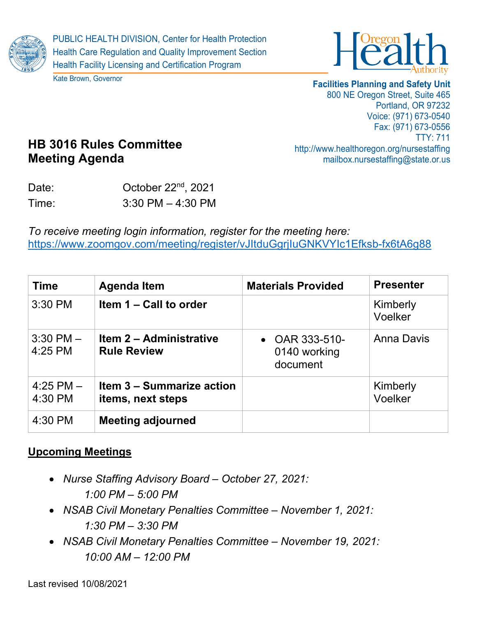



Kate Brown, Governor

**Facilities Planning and Safety Unit**

800 NE Oregon Street, Suite 465 Portland, OR 97232 Voice: (971) 673-0540 Fax: (971) 673-0556 TTY: 711 http://www.healthoregon.org/nursestaffing mailbox.nursestaffing@state.or.us

# **HB 3016 Rules Committee Meeting Agenda**

Date: October 22<sup>nd</sup>, 2021 Time: 3:30 PM – 4:30 PM

*To receive meeting login information, register for the meeting here:* <https://www.zoomgov.com/meeting/register/vJItduGgrjIuGNKVYIc1Efksb-fx6tA6g88>

| <b>Time</b>              | <b>Agenda Item</b>                                    | <b>Materials Provided</b>                    | <b>Presenter</b>    |
|--------------------------|-------------------------------------------------------|----------------------------------------------|---------------------|
| 3:30 PM                  | Item 1 – Call to order                                |                                              | Kimberly<br>Voelker |
| $3:30$ PM $-$<br>4:25 PM | <b>Item 2 - Administrative</b><br><b>Rule Review</b>  | • OAR $333-510-$<br>0140 working<br>document | <b>Anna Davis</b>   |
| $4:25$ PM $-$<br>4:30 PM | <b>Item 3 - Summarize action</b><br>items, next steps |                                              | Kimberly<br>Voelker |
| 4:30 PM                  | <b>Meeting adjourned</b>                              |                                              |                     |

## **Upcoming Meetings**

- *Nurse Staffing Advisory Board – October 27, 2021: 1:00 PM – 5:00 PM*
- *NSAB Civil Monetary Penalties Committee – November 1, 2021: 1:30 PM – 3:30 PM*
- *NSAB Civil Monetary Penalties Committee – November 19, 2021: 10:00 AM – 12:00 PM*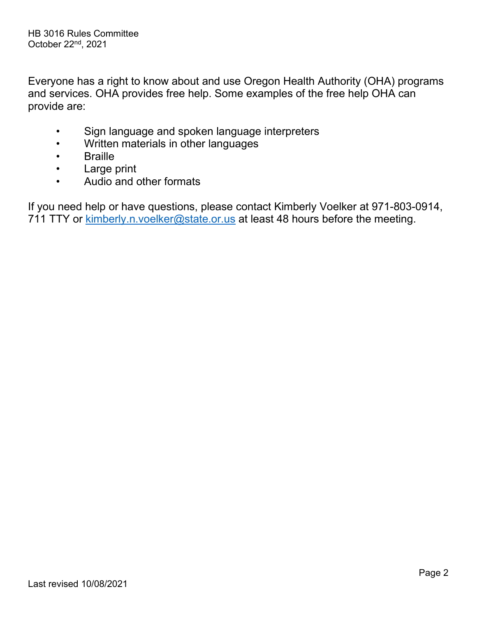Everyone has a right to know about and use Oregon Health Authority (OHA) programs and services. OHA provides free help. Some examples of the free help OHA can provide are:

- Sign language and spoken language interpreters
- Written materials in other languages
- Braille
- Large print
- Audio and other formats

If you need help or have questions, please contact Kimberly Voelker at 971-803-0914, 711 TTY or [kimberly.n.voelker@state.or.us](mailto:kimberly.n.voelker@state.or.us) at least 48 hours before the meeting.